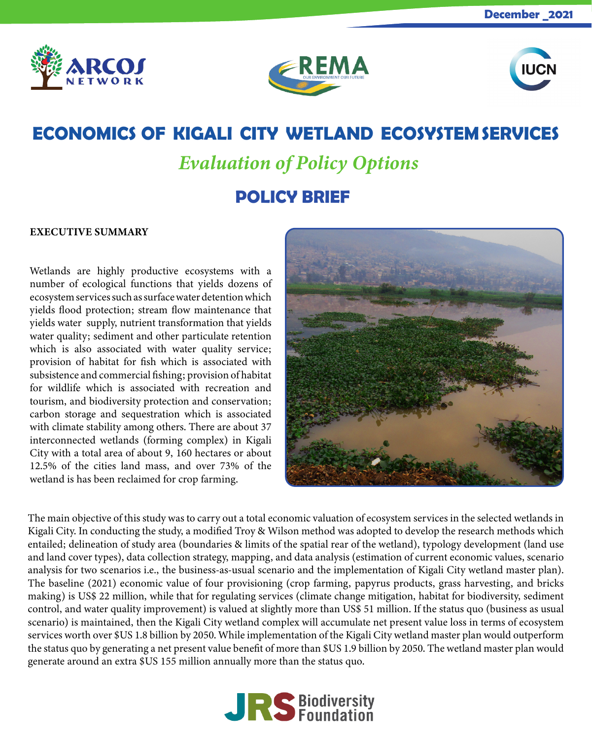





## **ECONOMICS OF KIGALI CITY WETLAND ECOSYSTEM SERVICES**

# *Evaluation of Policy Options*

## **POLICY BRIEF**

### EXECUTIVE SUMMARY

Wetlands are highly productive ecosystems with a number of ecological functions that yields dozens of ecosystem services such as surface water detention which yields flood protection; stream flow maintenance that yields water supply, nutrient transformation that yields water quality; sediment and other particulate retention which is also associated with water quality service; provision of habitat for fish which is associated with subsistence and commercial fishing; provision of habitat for wildlife which is associated with recreation and tourism, and biodiversity protection and conservation; carbon storage and sequestration which is associated with climate stability among others. There are about 37 interconnected wetlands (forming complex) in Kigali City with a total area of about 9, 160 hectares or about 12.5% of the cities land mass, and over 73% of the wetland is has been reclaimed for crop farming.



The main objective of this study was to carry out a total economic valuation of ecosystem services in the selected wetlands in Kigali City. In conducting the study, a modified Troy & Wilson method was adopted to develop the research methods which entailed; delineation of study area (boundaries & limits of the spatial rear of the wetland), typology development (land use and land cover types), data collection strategy, mapping, and data analysis (estimation of current economic values, scenario analysis for two scenarios i.e., the business-as-usual scenario and the implementation of Kigali City wetland master plan). The baseline (2021) economic value of four provisioning (crop farming, papyrus products, grass harvesting, and bricks making) is US\$ 22 million, while that for regulating services (climate change mitigation, habitat for biodiversity, sediment control, and water quality improvement) is valued at slightly more than US\$ 51 million. If the status quo (business as usual scenario) is maintained, then the Kigali City wetland complex will accumulate net present value loss in terms of ecosystem services worth over \$US 1.8 billion by 2050. While implementation of the Kigali City wetland master plan would outperform the status quo by generating a net present value benefit of more than \$US 1.9 billion by 2050. The wetland master plan would generate around an extra \$US 155 million annually more than the status quo.

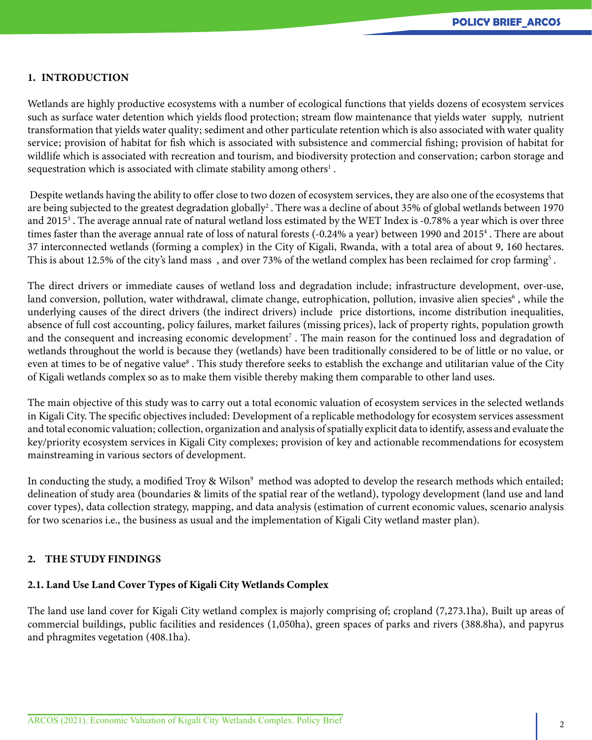#### 1. INTRODUCTION

Wetlands are highly productive ecosystems with a number of ecological functions that yields dozens of ecosystem services such as surface water detention which yields flood protection; stream flow maintenance that yields water supply, nutrient transformation that yields water quality; sediment and other particulate retention which is also associated with water quality service; provision of habitat for fish which is associated with subsistence and commercial fishing; provision of habitat for wildlife which is associated with recreation and tourism, and biodiversity protection and conservation; carbon storage and sequestration which is associated with climate stability among others<sup>1</sup>.

 Despite wetlands having the ability to offer close to two dozen of ecosystem services, they are also one of the ecosystems that are being subjected to the greatest degradation globally $^2$  . There was a decline of about 35% of global wetlands between 1970 and 2015<sup>3</sup> . The average annual rate of natural wetland loss estimated by the WET Index is -0.78% a year which is over three times faster than the average annual rate of loss of natural forests (-0.24% a year) between 1990 and 20154 . There are about 37 interconnected wetlands (forming a complex) in the City of Kigali, Rwanda, with a total area of about 9, 160 hectares. This is about 12.5% of the city's land mass), and over 73% of the wetland complex has been reclaimed for crop farming $^{\rm 5}$  .

The direct drivers or immediate causes of wetland loss and degradation include; infrastructure development, over-use, land conversion, pollution, water withdrawal, climate change, eutrophication, pollution, invasive alien species<sup>6</sup> , while the underlying causes of the direct drivers (the indirect drivers) include price distortions, income distribution inequalities, absence of full cost accounting, policy failures, market failures (missing prices), lack of property rights, population growth and the consequent and increasing economic development<sup>7</sup>. The main reason for the continued loss and degradation of wetlands throughout the world is because they (wetlands) have been traditionally considered to be of little or no value, or even at times to be of negative value<sup>8</sup>. This study therefore seeks to establish the exchange and utilitarian value of the City of Kigali wetlands complex so as to make them visible thereby making them comparable to other land uses.

The main objective of this study was to carry out a total economic valuation of ecosystem services in the selected wetlands in Kigali City. The specific objectives included: Development of a replicable methodology for ecosystem services assessment and total economic valuation; collection, organization and analysis of spatially explicit data to identify, assess and evaluate the key/priority ecosystem services in Kigali City complexes; provision of key and actionable recommendations for ecosystem mainstreaming in various sectors of development.

In conducting the study, a modified Troy & Wilson<sup>9</sup> method was adopted to develop the research methods which entailed; delineation of study area (boundaries & limits of the spatial rear of the wetland), typology development (land use and land cover types), data collection strategy, mapping, and data analysis (estimation of current economic values, scenario analysis for two scenarios i.e., the business as usual and the implementation of Kigali City wetland master plan).

#### 2. THE STUDY FINDINGS

## 2.1. Land Use Land Cover Types of Kigali City Wetlands Complex

The land use land cover for Kigali City wetland complex is majorly comprising of; cropland (7,273.1ha), Built up areas of commercial buildings, public facilities and residences (1,050ha), green spaces of parks and rivers (388.8ha), and papyrus and phragmites vegetation (408.1ha).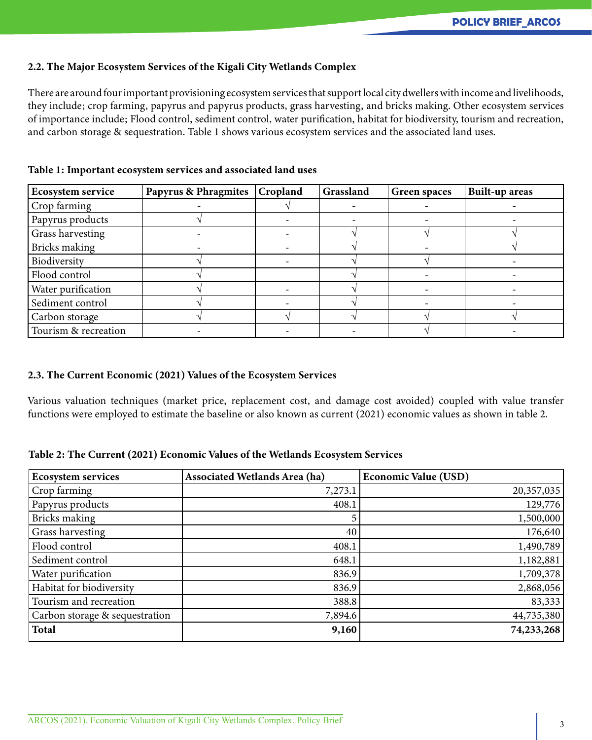#### 2.2. The Major Ecosystem Services of the Kigali City Wetlands Complex

There are around four important provisioning ecosystem services that support local city dwellers with income and livelihoods, they include; crop farming, papyrus and papyrus products, grass harvesting, and bricks making. Other ecosystem services of importance include; Flood control, sediment control, water purification, habitat for biodiversity, tourism and recreation, and carbon storage & sequestration. Table 1 shows various ecosystem services and the associated land uses.

| <b>Ecosystem service</b> | <b>Papyrus &amp; Phragmites</b> | Cropland | Grassland | <b>Green spaces</b> | <b>Built-up areas</b> |
|--------------------------|---------------------------------|----------|-----------|---------------------|-----------------------|
| Crop farming             |                                 |          |           |                     |                       |
| Papyrus products         |                                 |          |           |                     |                       |
| Grass harvesting         |                                 |          |           |                     |                       |
| Bricks making            |                                 |          |           |                     |                       |
| Biodiversity             |                                 |          |           |                     |                       |
| Flood control            |                                 |          |           |                     |                       |
| Water purification       |                                 |          |           |                     |                       |
| Sediment control         |                                 |          |           |                     |                       |
| Carbon storage           |                                 |          |           |                     |                       |
| Tourism & recreation     |                                 |          |           |                     |                       |

Table 1: Important ecosystem services and associated land uses

#### 2.3. The Current Economic (2021) Values of the Ecosystem Services

Various valuation techniques (market price, replacement cost, and damage cost avoided) coupled with value transfer functions were employed to estimate the baseline or also known as current (2021) economic values as shown in table 2.

|  |  | Table 2: The Current (2021) Economic Values of the Wetlands Ecosystem Services |
|--|--|--------------------------------------------------------------------------------|
|--|--|--------------------------------------------------------------------------------|

| <b>Ecosystem services</b>      | <b>Associated Wetlands Area (ha)</b> | <b>Economic Value (USD)</b> |
|--------------------------------|--------------------------------------|-----------------------------|
| Crop farming                   | 7,273.1                              | 20,357,035                  |
| Papyrus products               | 408.1                                | 129,776                     |
| Bricks making                  |                                      | 1,500,000                   |
| Grass harvesting               | 40                                   | 176,640                     |
| Flood control                  | 408.1                                | 1,490,789                   |
| Sediment control               | 648.1                                | 1,182,881                   |
| Water purification             | 836.9                                | 1,709,378                   |
| Habitat for biodiversity       | 836.9                                | 2,868,056                   |
| Tourism and recreation         | 388.8                                | 83,333                      |
| Carbon storage & sequestration | 7,894.6                              | 44,735,380                  |
| <b>Total</b>                   | 9,160                                | 74,233,268                  |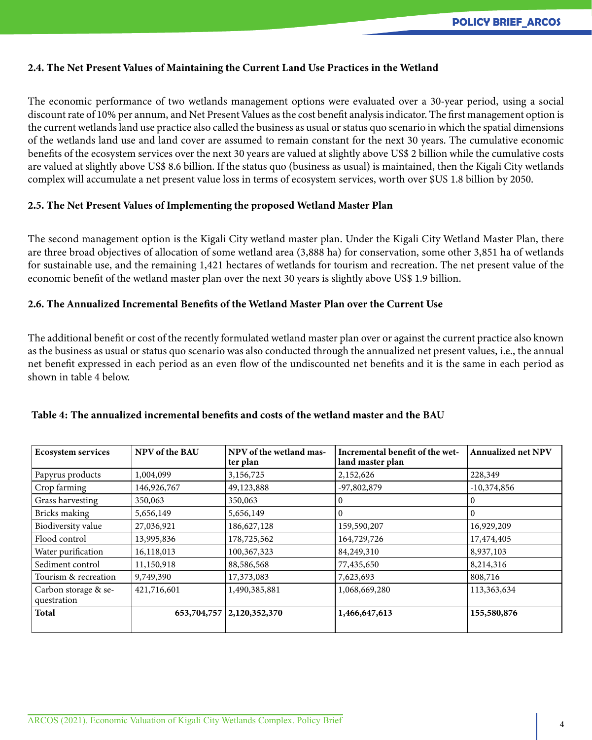#### 2.4. The Net Present Values of Maintaining the Current Land Use Practices in the Wetland

The economic performance of two wetlands management options were evaluated over a 30-year period, using a social discount rate of 10% per annum, and Net Present Values as the cost benefit analysis indicator. The first management option is the current wetlands land use practice also called the business as usual or status quo scenario in which the spatial dimensions of the wetlands land use and land cover are assumed to remain constant for the next 30 years. The cumulative economic benefits of the ecosystem services over the next 30 years are valued at slightly above US\$ 2 billion while the cumulative costs are valued at slightly above US\$ 8.6 billion. If the status quo (business as usual) is maintained, then the Kigali City wetlands complex will accumulate a net present value loss in terms of ecosystem services, worth over \$US 1.8 billion by 2050.

#### 2.5. The Net Present Values of Implementing the proposed Wetland Master Plan

The second management option is the Kigali City wetland master plan. Under the Kigali City Wetland Master Plan, there are three broad objectives of allocation of some wetland area (3,888 ha) for conservation, some other 3,851 ha of wetlands for sustainable use, and the remaining 1,421 hectares of wetlands for tourism and recreation. The net present value of the economic benefit of the wetland master plan over the next 30 years is slightly above US\$ 1.9 billion.

#### 2.6. The Annualized Incremental Benefits of the Wetland Master Plan over the Current Use

The additional benefit or cost of the recently formulated wetland master plan over or against the current practice also known as the business as usual or status quo scenario was also conducted through the annualized net present values, i.e., the annual net benefit expressed in each period as an even flow of the undiscounted net benefits and it is the same in each period as shown in table 4 below.

| <b>Ecosystem services</b>           | NPV of the BAU | NPV of the wetland mas-<br>ter plan | Incremental benefit of the wet-<br>land master plan | <b>Annualized net NPV</b> |
|-------------------------------------|----------------|-------------------------------------|-----------------------------------------------------|---------------------------|
| Papyrus products                    | 1,004,099      | 3,156,725                           | 2,152,626                                           | 228,349                   |
| Crop farming                        | 146,926,767    | 49,123,888                          | $-97,802,879$                                       | $-10,374,856$             |
| Grass harvesting                    | 350,063        | 350,063                             |                                                     | 0                         |
| Bricks making                       | 5,656,149      | 5,656,149                           |                                                     | 0                         |
| Biodiversity value                  | 27,036,921     | 186,627,128                         | 159,590,207                                         | 16,929,209                |
| Flood control                       | 13,995,836     | 178,725,562                         | 164,729,726                                         | 17,474,405                |
| Water purification                  | 16,118,013     | 100,367,323                         | 84,249,310                                          | 8,937,103                 |
| Sediment control                    | 11,150,918     | 88,586,568                          | 77,435,650                                          | 8,214,316                 |
| Tourism & recreation                | 9,749,390      | 17,373,083                          | 7,623,693                                           | 808,716                   |
| Carbon storage & se-<br>questration | 421,716,601    | 1,490,385,881                       | 1,068,669,280                                       | 113,363,634               |
| <b>Total</b>                        |                | 653, 704, 757   2, 120, 352, 370    | 1,466,647,613                                       | 155,580,876               |

## Table 4: The annualized incremental benefits and costs of the wetland master and the BAU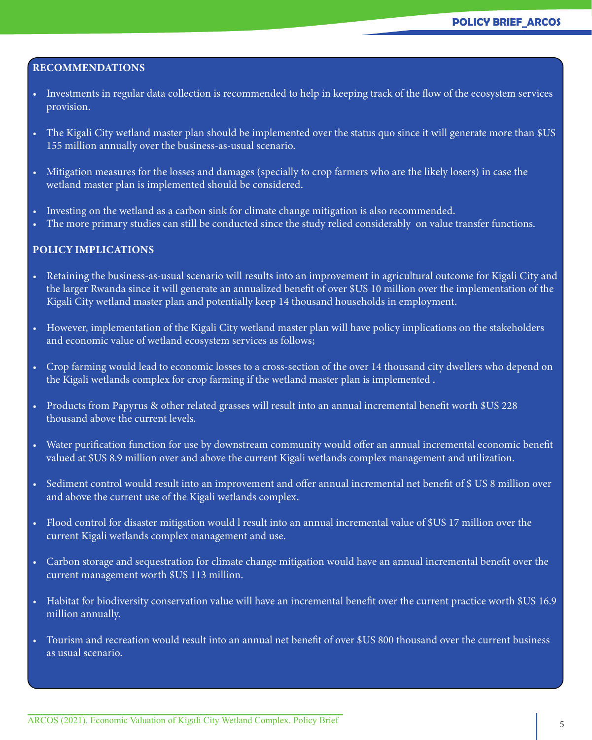#### RECOMMENDATIONS

- Investments in regular data collection is recommended to help in keeping track of the flow of the ecosystem services provision.
- The Kigali City wetland master plan should be implemented over the status quo since it will generate more than \$US 155 million annually over the business-as-usual scenario.
- Mitigation measures for the losses and damages (specially to crop farmers who are the likely losers) in case the wetland master plan is implemented should be considered.
- Investing on the wetland as a carbon sink for climate change mitigation is also recommended.
- The more primary studies can still be conducted since the study relied considerably on value transfer functions.

#### POLICY IMPLICATIONS

- Retaining the business-as-usual scenario will results into an improvement in agricultural outcome for Kigali City and the larger Rwanda since it will generate an annualized benefit of over \$US 10 million over the implementation of the Kigali City wetland master plan and potentially keep 14 thousand households in employment.
- However, implementation of the Kigali City wetland master plan will have policy implications on the stakeholders and economic value of wetland ecosystem services as follows;
- Crop farming would lead to economic losses to a cross-section of the over 14 thousand city dwellers who depend on the Kigali wetlands complex for crop farming if the wetland master plan is implemented .
- Products from Papyrus & other related grasses will result into an annual incremental benefit worth \$US 228 thousand above the current levels.
- Water purification function for use by downstream community would offer an annual incremental economic benefit valued at \$US 8.9 million over and above the current Kigali wetlands complex management and utilization.
- Sediment control would result into an improvement and offer annual incremental net benefit of \$ US 8 million over and above the current use of the Kigali wetlands complex.
- Flood control for disaster mitigation would l result into an annual incremental value of \$US 17 million over the current Kigali wetlands complex management and use.
- Carbon storage and sequestration for climate change mitigation would have an annual incremental benefit over the current management worth \$US 113 million.
- Habitat for biodiversity conservation value will have an incremental benefit over the current practice worth \$US 16.9 million annually.
- Tourism and recreation would result into an annual net benefit of over \$US 800 thousand over the current business as usual scenario.